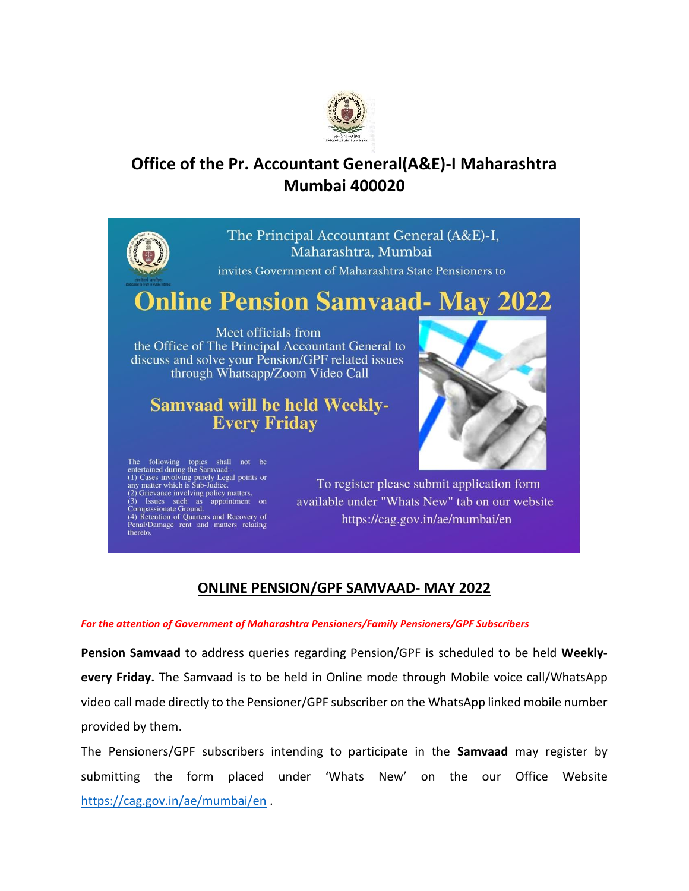

## **Office of the Pr. Accountant General(A&E)-I Maharashtra Mumbai 400020**



(4) Retention of Quarters and Recovery of Penal/Damage rent and matters relating thereto.

https://cag.gov.in/ae/mumbai/en

## **ONLINE PENSION/GPF SAMVAAD- MAY 2022**

## *For the attention of Government of Maharashtra Pensioners/Family Pensioners/GPF Subscribers*

**Pension Samvaad** to address queries regarding Pension/GPF is scheduled to be held **Weeklyevery Friday.** The Samvaad is to be held in Online mode through Mobile voice call/WhatsApp video call made directly to the Pensioner/GPF subscriber on the WhatsApp linked mobile number provided by them.

The Pensioners/GPF subscribers intending to participate in the **Samvaad** may register by submitting the form placed under 'Whats New' on the our Office Website <https://cag.gov.in/ae/mumbai/en> .